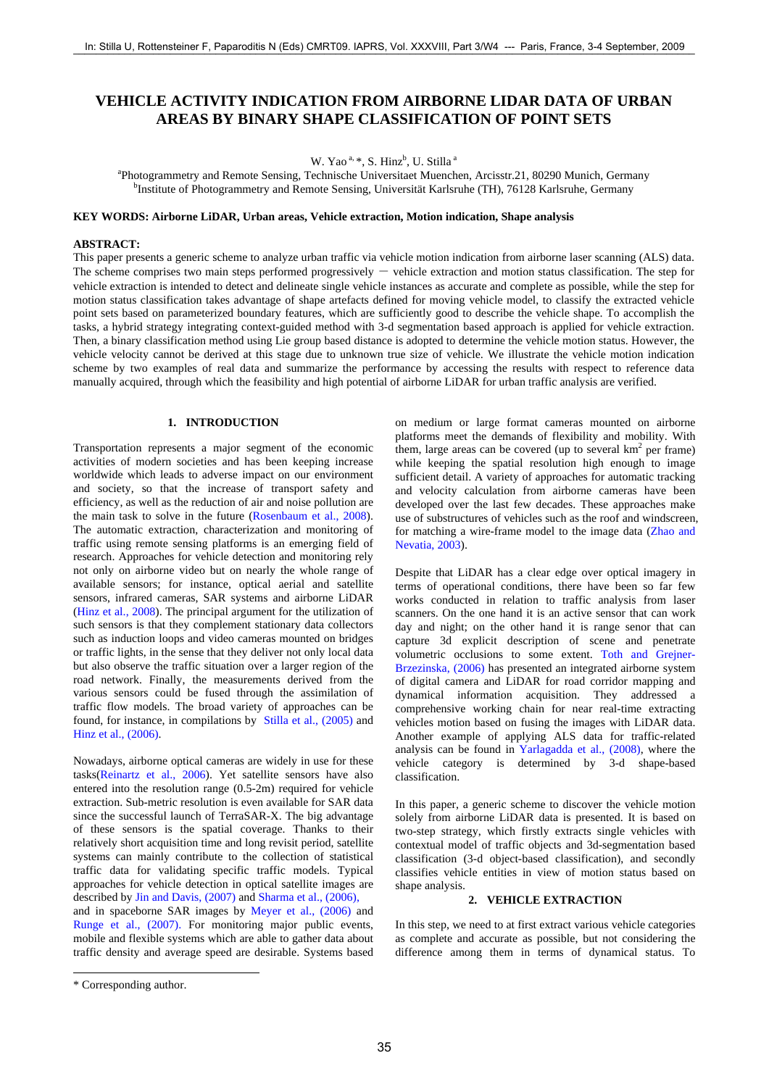# **VEHICLE ACTIVITY INDICATION FROM AIRBORNE LIDAR DATA OF URBAN AREAS BY BINARY SHAPE CLASSIFICATION OF POINT SETS**

W. Yao<sup>a, \*</sup>, S. Hinz<sup>b</sup>, U. Stilla<sup>a</sup>

<sup>a</sup>Photogrammetry and Remote Sensing, Technische Universitaet Muenchen, Arcisstr.21, 80290 Munich, Germany b<br>bIngtitute of Photogrammetry and Remote Sensing, Universität Kerkrube (TH), 76128 Kerkrube Germany <sup>b</sup>Institute of Photogrammetry and Remote Sensing, Universität Karlsruhe (TH), 76128 Karlsruhe, Germany

## **KEY WORDS: Airborne LiDAR, Urban areas, Vehicle extraction, Motion indication, Shape analysis**

## **ABSTRACT:**

This paper presents a generic scheme to analyze urban traffic via vehicle motion indication from airborne laser scanning (ALS) data. The scheme comprises two main steps performed progressively  $-$  vehicle extraction and motion status classification. The step for vehicle extraction is intended to detect and delineate single vehicle instances as accurate and complete as possible, while the step for motion status classification takes advantage of shape artefacts defined for moving vehicle model, to classify the extracted vehicle point sets based on parameterized boundary features, which are sufficiently good to describe the vehicle shape. To accomplish the tasks, a hybrid strategy integrating context-guided method with 3-d segmentation based approach is applied for vehicle extraction. Then, a binary classification method using Lie group based distance is adopted to determine the vehicle motion status. However, the vehicle velocity cannot be derived at this stage due to unknown true size of vehicle. We illustrate the vehicle motion indication scheme by two examples of real data and summarize the performance by accessing the results with respect to reference data manually acquired, through which the feasibility and high potential of airborne LiDAR for urban traffic analysis are verified.

## **1. INTRODUCTION**

Transportation represents a major segment of the economic activities of modern societies and has been keeping increase worldwide which leads to adverse impact on our environment and society, so that the increase of transport safety and efficiency, as well as the reduction of air and noise pollution are the main task to solve in the future (Rosenbaum et al., 2008). The automatic extraction, characterization and monitoring of traffic using remote sensing platforms is an emerging field of research. Approaches for vehicle detection and monitoring rely not only on airborne video but on nearly the whole range of available sensors; for instance, optical aerial and satellite sensors, infrared cameras, SAR systems and airborne LiDAR (Hinz et al., 2008). The principal argument for the utilization of such sensors is that they complement stationary data collectors such as induction loops and video cameras mounted on bridges or traffic lights, in the sense that they deliver not only local data but also observe the traffic situation over a larger region of the road network. Finally, the measurements derived from the various sensors could be fused through the assimilation of traffic flow models. The broad variety of approaches can be found, for instance, in compilations by Stilla et al., (2005) and Hinz et al., (2006). In: Stilla U, Rottensteiner F, Paparoditis I, Rottens, 1978 1983 2001, Paparoditis I, Rottens, 2002<br>
VEIIICLE ACTIVITY INDICATION FROM EIGNINEER CHARGES INTO A PRODUCTION FROM EIGNINEER CHARGES INTERNATION CONTROL TO THE

Nowadays, airborne optical cameras are widely in use for these tasks(Reinartz et al., 2006). Yet satellite sensors have also entered into the resolution range (0.5-2m) required for vehicle extraction. Sub-metric resolution is even available for SAR data since the successful launch of TerraSAR-X. The big advantage of these sensors is the spatial coverage. Thanks to their relatively short acquisition time and long revisit period, satellite systems can mainly contribute to the collection of statistical traffic data for validating specific traffic models. Typical approaches for vehicle detection in optical satellite images are described by Jin and Davis, (2007) and Sharma et al., (2006), and in spaceborne SAR images by Meyer et al., (2006) and Runge et al., (2007). For monitoring major public events, mobile and flexible systems which are able to gather data about traffic density and average speed are desirable. Systems based on medium or large format cameras mounted on airborne platforms meet the demands of flexibility and mobility. With them, large areas can be covered (up to several  $km<sup>2</sup>$  per frame) while keeping the spatial resolution high enough to image sufficient detail. A variety of approaches for automatic tracking and velocity calculation from airborne cameras have been developed over the last few decades. These approaches make use of substructures of vehicles such as the roof and windscreen, for matching a wire-frame model to the image data (Zhao and Nevatia, 2003).

Despite that LiDAR has a clear edge over optical imagery in terms of operational conditions, there have been so far few works conducted in relation to traffic analysis from laser scanners. On the one hand it is an active sensor that can work day and night; on the other hand it is range senor that can capture 3d explicit description of scene and penetrate volumetric occlusions to some extent. Toth and Grejner-Brzezinska, (2006) has presented an integrated airborne system of digital camera and LiDAR for road corridor mapping and dynamical information acquisition. They addressed a comprehensive working chain for near real-time extracting vehicles motion based on fusing the images with LiDAR data. Another example of applying ALS data for traffic-related analysis can be found in Yarlagadda et al., (2008), where the vehicle category is determined by 3-d shape-based classification.

In this paper, a generic scheme to discover the vehicle motion solely from airborne LiDAR data is presented. It is based on two-step strategy, which firstly extracts single vehicles with contextual model of traffic objects and 3d-segmentation based classification (3-d object-based classification), and secondly classifies vehicle entities in view of motion status based on shape analysis.

## **2. VEHICLE EXTRACTION**

In this step, we need to at first extract various vehicle categories as complete and accurate as possible, but not considering the difference among them in terms of dynamical status. To

l

<sup>\*</sup> Corresponding author.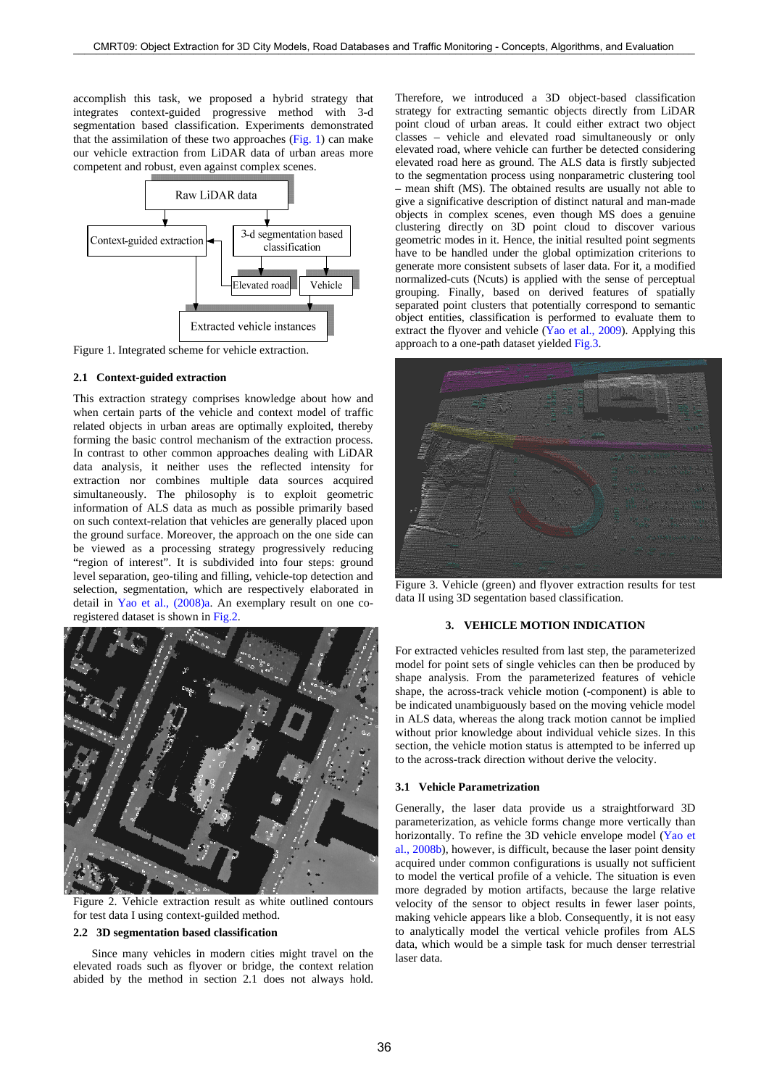accomplish this task, we proposed a hybrid strategy that integrates context-guided progressive method with 3-d segmentation based classification. Experiments demonstrated that the assimilation of these two approaches  $(Fig. 1)$  can make our vehicle extraction from LiDAR data of urban areas more competent and robust, even against complex scenes.



Figure 1. Integrated scheme for vehicle extraction.

## **2.1 Context-guided extraction**

This extraction strategy comprises knowledge about how and when certain parts of the vehicle and context model of traffic related objects in urban areas are optimally exploited, thereby forming the basic control mechanism of the extraction process. In contrast to other common approaches dealing with LiDAR data analysis, it neither uses the reflected intensity for extraction nor combines multiple data sources acquired simultaneously. The philosophy is to exploit geometric information of ALS data as much as possible primarily based on such context-relation that vehicles are generally placed upon the ground surface. Moreover, the approach on the one side can be viewed as a processing strategy progressively reducing "region of interest". It is subdivided into four steps: ground level separation, geo-tiling and filling, vehicle-top detection and selection, segmentation, which are respectively elaborated in detail in Yao et al., (2008)a. An exemplary result on one coregistered dataset is shown in Fig.2.



Figure 2. Vehicle extraction result as white outlined contours for test data I using context-guilded method.

## **2.2 3D segmentation based classification**

Since many vehicles in modern cities might travel on the elevated roads such as flyover or bridge, the context relation abided by the method in section 2.1 does not always hold. Therefore, we introduced a 3D object-based classification strategy for extracting semantic objects directly from LiDAR point cloud of urban areas. It could either extract two object classes – vehicle and elevated road simultaneously or only elevated road, where vehicle can further be detected considering elevated road here as ground. The ALS data is firstly subjected to the segmentation process using nonparametric clustering tool – mean shift (MS). The obtained results are usually not able to give a significative description of distinct natural and man-made objects in complex scenes, even though MS does a genuine clustering directly on 3D point cloud to discover various geometric modes in it. Hence, the initial resulted point segments have to be handled under the global optimization criterions to generate more consistent subsets of laser data. For it, a modified normalized-cuts (Ncuts) is applied with the sense of perceptual grouping. Finally, based on derived features of spatially separated point clusters that potentially correspond to semantic object entities, classification is performed to evaluate them to extract the flyover and vehicle (Yao et al., 2009). Applying this approach to a one-path dataset yielded Fig.3.



Figure 3. Vehicle (green) and flyover extraction results for test data II using 3D segentation based classification.

#### **3. VEHICLE MOTION INDICATION**

For extracted vehicles resulted from last step, the parameterized model for point sets of single vehicles can then be produced by shape analysis. From the parameterized features of vehicle shape, the across-track vehicle motion (-component) is able to be indicated unambiguously based on the moving vehicle model in ALS data, whereas the along track motion cannot be implied without prior knowledge about individual vehicle sizes. In this section, the vehicle motion status is attempted to be inferred up to the across-track direction without derive the velocity.

## **3.1 Vehicle Parametrization**

Generally, the laser data provide us a straightforward 3D parameterization, as vehicle forms change more vertically than horizontally. To refine the 3D vehicle envelope model (Yao et al., 2008b), however, is difficult, because the laser point density acquired under common configurations is usually not sufficient to model the vertical profile of a vehicle. The situation is even more degraded by motion artifacts, because the large relative velocity of the sensor to object results in fewer laser points, making vehicle appears like a blob. Consequently, it is not easy to analytically model the vertical vehicle profiles from ALS data, which would be a simple task for much denser terrestrial laser data.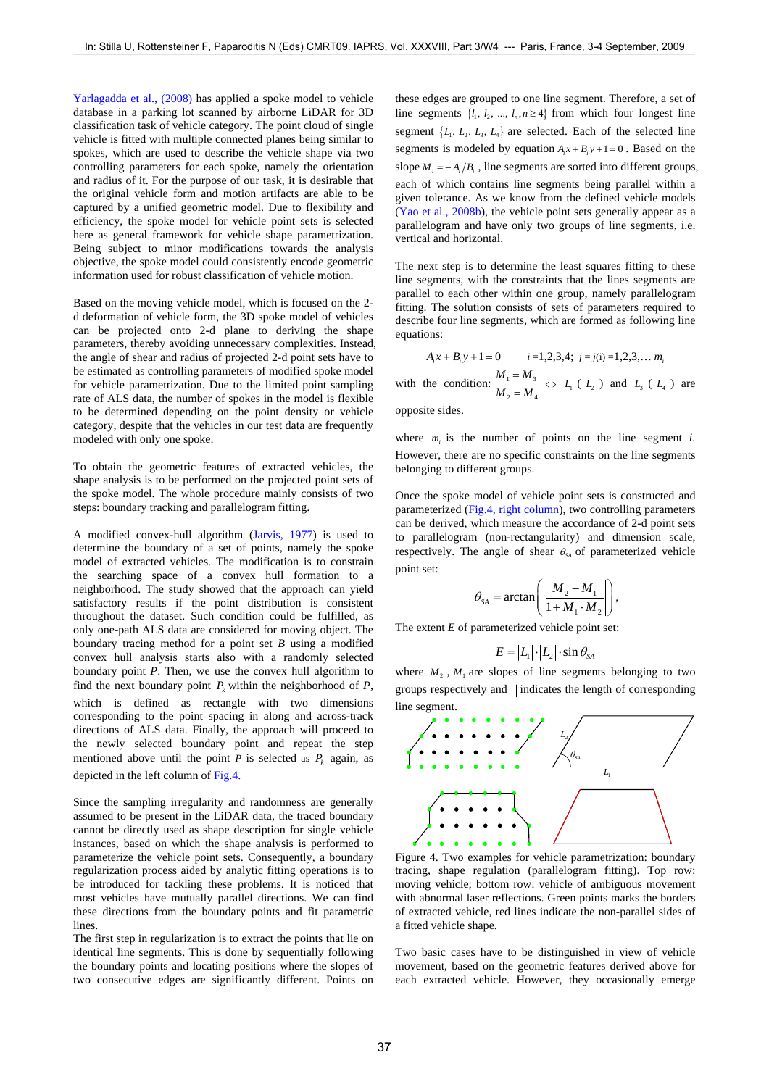Yarlagadda et al., (2008) has applied a spoke model to vehicle database in a parking lot scanned by airborne LiDAR for 3D classification task of vehicle category. The point cloud of single vehicle is fitted with multiple connected planes being similar to spokes, which are used to describe the vehicle shape via two controlling parameters for each spoke, namely the orientation and radius of it. For the purpose of our task, it is desirable that the original vehicle form and motion artifacts are able to be captured by a unified geometric model. Due to flexibility and efficiency, the spoke model for vehicle point sets is selected here as general framework for vehicle shape parametrization. Being subject to minor modifications towards the analysis objective, the spoke model could consistently encode geometric information used for robust classification of vehicle motion.

Based on the moving vehicle model, which is focused on the 2 d deformation of vehicle form, the 3D spoke model of vehicles can be projected onto 2-d plane to deriving the shape parameters, thereby avoiding unnecessary complexities. Instead, the angle of shear and radius of projected 2-d point sets have to be estimated as controlling parameters of modified spoke model for vehicle parametrization. Due to the limited point sampling rate of ALS data, the number of spokes in the model is flexible to be determined depending on the point density or vehicle category, despite that the vehicles in our test data are frequently modeled with only one spoke.

To obtain the geometric features of extracted vehicles, the shape analysis is to be performed on the projected point sets of the spoke model. The whole procedure mainly consists of two steps: boundary tracking and parallelogram fitting.

A modified convex-hull algorithm (Jarvis, 1977) is used to determine the boundary of a set of points, namely the spoke model of extracted vehicles. The modification is to constrain the searching space of a convex hull formation to a neighborhood. The study showed that the approach can yield satisfactory results if the point distribution is consistent throughout the dataset. Such condition could be fulfilled, as only one-path ALS data are considered for moving object. The boundary tracing method for a point set *B* using a modified convex hull analysis starts also with a randomly selected boundary point *P*. Then, we use the convex hull algorithm to find the next boundary point  $P_k$  within the neighborhood of  $P$ , which is defined as rectangle with two dimensions corresponding to the point spacing in along and across-track directions of ALS data. Finally, the approach will proceed to the newly selected boundary point and repeat the step mentioned above until the point *P* is selected as  $P_k$  again, as depicted in the left column of Fig.4. 37 In: Stilla U, Rottensteiner F, Paparoditis N (Eds) CMRT09. IAPRS, Vol. XXXVIII, Part 3/W4 --- Paris, France, 3-4 September, 2009

Since the sampling irregularity and randomness are generally assumed to be present in the LiDAR data, the traced boundary cannot be directly used as shape description for single vehicle instances, based on which the shape analysis is performed to parameterize the vehicle point sets. Consequently, a boundary regularization process aided by analytic fitting operations is to be introduced for tackling these problems. It is noticed that most vehicles have mutually parallel directions. We can find these directions from the boundary points and fit parametric lines.

The first step in regularization is to extract the points that lie on identical line segments. This is done by sequentially following the boundary points and locating positions where the slopes of two consecutive edges are significantly different. Points on

these edges are grouped to one line segment. Therefore, a set of line segments  $\{l_1, l_2, ..., l_n, n \geq 4\}$  from which four longest line segment  $\{L_1, L_2, L_3, L_4\}$  are selected. Each of the selected line segments is modeled by equation  $A_i x + B_i y + 1 = 0$ . Based on the slope  $M_i = -A_i/B_i$ , line segments are sorted into different groups, each of which contains line segments being parallel within a given tolerance. As we know from the defined vehicle models (Yao et al., 2008b), the vehicle point sets generally appear as a parallelogram and have only two groups of line segments, i.e. vertical and horizontal.

The next step is to determine the least squares fitting to these line segments, with the constraints that the lines segments are parallel to each other within one group, namely parallelogram fitting. The solution consists of sets of parameters required to describe four line segments, which are formed as following line equations:

$$
A_i x + B_i y + 1 = 0 \t i = 1,2,3,4; \t j = j(i) = 1,2,3,... \t m_i
$$

1 0 *Ax By i i i* =1,2,3,4; *j* = *j*(i) =1,2,3,… *mi*

with the condition:  $\frac{M_1 - M_3}{M_1 - M_3}$  $2 - M_4$  $M<sub>2</sub> = M$  $\begin{array}{l}\n= M_3 \\
= M_4 \end{array}$   $\Leftrightarrow$   $L_1$  (  $L_2$  ) and  $L_3$  (  $L_4$  ) are opposite sides.

where  $m_i$  is the number of points on the line segment *i*. However, there are no specific constraints on the line segments belonging to different groups.

Once the spoke model of vehicle point sets is constructed and parameterized (Fig.4, right column), two controlling parameters can be derived, which measure the accordance of 2-d point sets to parallelogram (non-rectangularity) and dimension scale, respectively. The angle of shear  $\theta_{SA}$  of parameterized vehicle point set:

$$
\theta_{SA} = \arctan\left(\left|\frac{M_2 - M_1}{1 + M_1 \cdot M_2}\right|\right),\,
$$

The extent *E* of parameterized vehicle point set:

$$
E = |L_1| \cdot |L_2| \cdot \sin \theta_{SA}
$$

where  $M_2$ ,  $M_1$  are slopes of line segments belonging to two groups respectively and | | indicates the length of corresponding line segment.



Figure 4. Two examples for vehicle parametrization: boundary tracing, shape regulation (parallelogram fitting). Top row: moving vehicle; bottom row: vehicle of ambiguous movement with abnormal laser reflections. Green points marks the borders of extracted vehicle, red lines indicate the non-parallel sides of a fitted vehicle shape.

Two basic cases have to be distinguished in view of vehicle movement, based on the geometric features derived above for each extracted vehicle. However, they occasionally emerge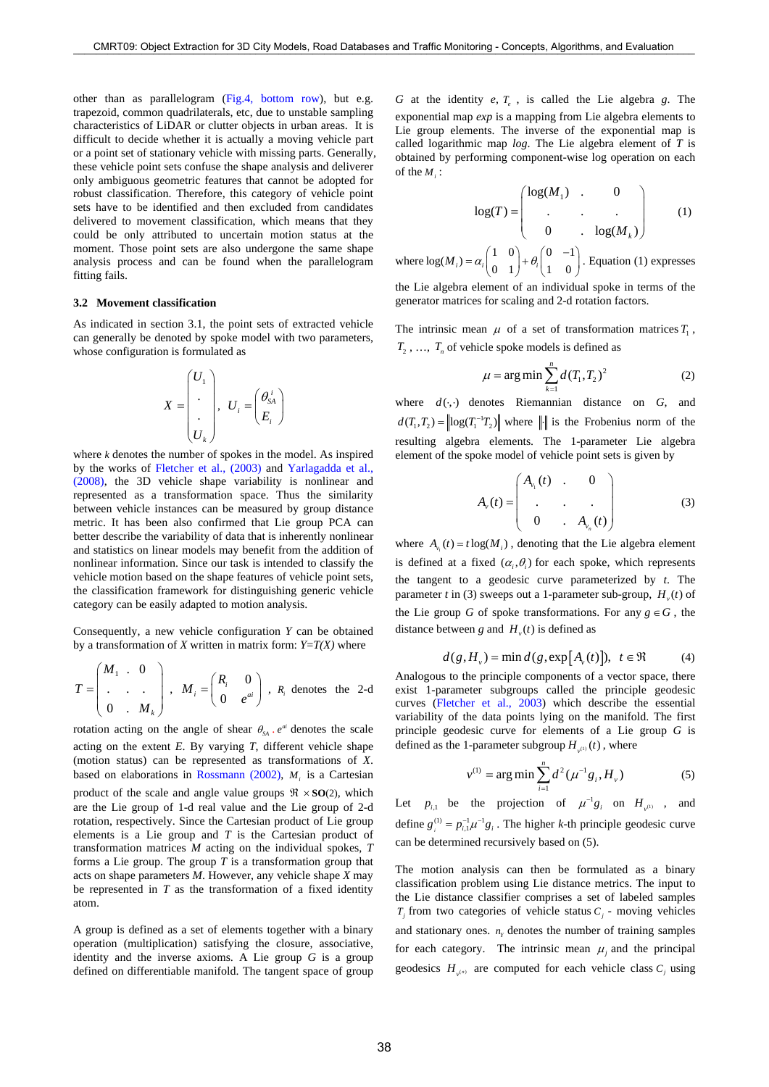other than as parallelogram (Fig.4, bottom row), but e.g. trapezoid, common quadrilaterals, etc, due to unstable sampling characteristics of LiDAR or clutter objects in urban areas. It is difficult to decide whether it is actually a moving vehicle part or a point set of stationary vehicle with missing parts. Generally, these vehicle point sets confuse the shape analysis and deliverer only ambiguous geometric features that cannot be adopted for robust classification. Therefore, this category of vehicle point sets have to be identified and then excluded from candidates delivered to movement classification, which means that they could be only attributed to uncertain motion status at the moment. Those point sets are also undergone the same shape analysis process and can be found when the parallelogram fitting fails. 2008:30 CMRT09: Object Extraction for 3D City Visible Road Databases and Traffic Monitoring Concepts, Application concepts and the concepts of the City Concepts and the concepts of the City Concepts and the concepts of th

#### **3.2 Movement classification**

As indicated in section 3.1, the point sets of extracted vehicle can generally be denoted by spoke model with two parameters, whose configuration is formulated as

$$
X = \begin{pmatrix} U_1 \\ \cdot \\ \cdot \\ U_k \end{pmatrix}, \quad U_i = \begin{pmatrix} \theta_{SA}^i \\ E_i \end{pmatrix}
$$

where *k* denotes the number of spokes in the model. As inspired by the works of Fletcher et al., (2003) and Yarlagadda et al., (2008), the 3D vehicle shape variability is nonlinear and represented as a transformation space. Thus the similarity between vehicle instances can be measured by group distance metric. It has been also confirmed that Lie group PCA can better describe the variability of data that is inherently nonlinear and statistics on linear models may benefit from the addition of nonlinear information. Since our task is intended to classify the vehicle motion based on the shape features of vehicle point sets, the classification framework for distinguishing generic vehicle category can be easily adapted to motion analysis.

Consequently, a new vehicle configuration *Y* can be obtained by a transformation of *X* written in matrix form:  $Y=T(X)$  where

$$
T = \begin{pmatrix} M_1 & 0 \\ \cdot & \cdot & \cdot \\ 0 & M_k \end{pmatrix}, \quad M_i = \begin{pmatrix} R_i & 0 \\ 0 & e^{ai} \end{pmatrix}, \quad R_i \text{ denotes the 2-d}
$$

rotation acting on the angle of shear  $\theta_{SA}$ ,  $e^{ai}$  denotes the scale acting on the extent *E*. By varying *T*, different vehicle shape (motion status) can be represented as transformations of *X*. based on elaborations in Rossmann  $(2002)$ , *M<sub>i</sub>* is a Cartesian product of the scale and angle value groups  $\Re \times SO(2)$ , which are the Lie group of 1-d real value and the Lie group of 2-d rotation, respectively. Since the Cartesian product of Lie group elements is a Lie group and *T* is the Cartesian product of transformation matrices *M* acting on the individual spokes, *T* forms a Lie group. The group *T* is a transformation group that acts on shape parameters *M*. However, any vehicle shape *X* may be represented in *T* as the transformation of a fixed identity atom.

A group is defined as a set of elements together with a binary operation (multiplication) satisfying the closure, associative, identity and the inverse axioms. A Lie group *G* is a group defined on differentiable manifold. The tangent space of group

*G* at the identity *e*, *Te* , is called the Lie algebra *g*. The exponential map *exp* is a mapping from Lie algebra elements to Lie group elements. The inverse of the exponential map is called logarithmic map *log*. The Lie algebra element of *T* is obtained by performing component-wise log operation on each of the *Mi* :

$$
\log(T) = \begin{pmatrix} \log(M_1) & 0 & & \\ \cdot & \cdot & \cdot & \cdot \\ 0 & \cdot & \log(M_k) & \end{pmatrix} \tag{1}
$$

where  $log(M_i) = \alpha_i \begin{pmatrix} 1 & 0 \\ 0 & 1 \end{pmatrix} + \theta_i \begin{pmatrix} 0 & -1 \\ 1 & 0 \end{pmatrix}$ . Equation (1) expresses

the Lie algebra element of an individual spoke in terms of the generator matrices for scaling and 2-d rotation factors.

The intrinsic mean  $\mu$  of a set of transformation matrices  $T_1$ ,  $T_2$ , ...,  $T_n$  of vehicle spoke models is defined as

$$
\mu = \arg \min \sum_{k=1}^{n} d(T_1, T_2)^2
$$
 (2)

where  $d(\cdot, \cdot)$  denotes Riemannian distance on  $G$ , and  $d(T_1, T_2) = \left\| \log(T_1^{-1} T_2) \right\|$  where  $\left\| \cdot \right\|$  is the Frobenius norm of the resulting algebra elements. The 1-parameter Lie algebra element of the spoke model of vehicle point sets is given by

$$
A_{\nu}(t) = \begin{pmatrix} A_{\nu_1}(t) & 0 & 0 \\ \cdot & \cdot & \cdot \\ 0 & A_{\nu_n}(t) & \end{pmatrix} \tag{3}
$$

where  $A_i(t) = t \log(M_i)$ , denoting that the Lie algebra element is defined at a fixed  $(\alpha_i, \theta_i)$  for each spoke, which represents the tangent to a geodesic curve parameterized by *t*. The parameter *t* in (3) sweeps out a 1-parameter sub-group,  $H_v(t)$  of the Lie group *G* of spoke transformations. For any  $g \in G$ , the distance between *g* and  $H<sub>v</sub>(t)$  is defined as

$$
d(g, H_v) = \min d(g, \exp[A_v(t)]), \ t \in \mathfrak{R} \tag{4}
$$

Analogous to the principle components of a vector space, there exist 1-parameter subgroups called the principle geodesic curves (Fletcher et al., 2003) which describe the essential variability of the data points lying on the manifold. The first principle geodesic curve for elements of a Lie group *G* is defined as the 1-parameter subgroup  $H_{(0)}(t)$ , where

$$
v^{(1)} = \arg\min \sum_{i=1}^{n} d^2(\mu^{-1}g_i, H_v)
$$
 (5)

Let  $p_{i,1}$  be the projection of  $\mu^{-1}g_i$  on  $H_{\nu^{(1)}}$ , and define  $g_i^{(1)} = p_{i,1}^{-1} \mu^{-1} g_i$ . The higher *k*-th principle geodesic curve can be determined recursively based on (5).

The motion analysis can then be formulated as a binary classification problem using Lie distance metrics. The input to the Lie distance classifier comprises a set of labeled samples  $T_i$  from two categories of vehicle status  $C_i$  - moving vehicles and stationary ones.  $n<sub>r</sub>$  denotes the number of training samples for each category. The intrinsic mean  $\mu_i$  and the principal geodesics  $H_{(n)}$  are computed for each vehicle class  $C_i$  using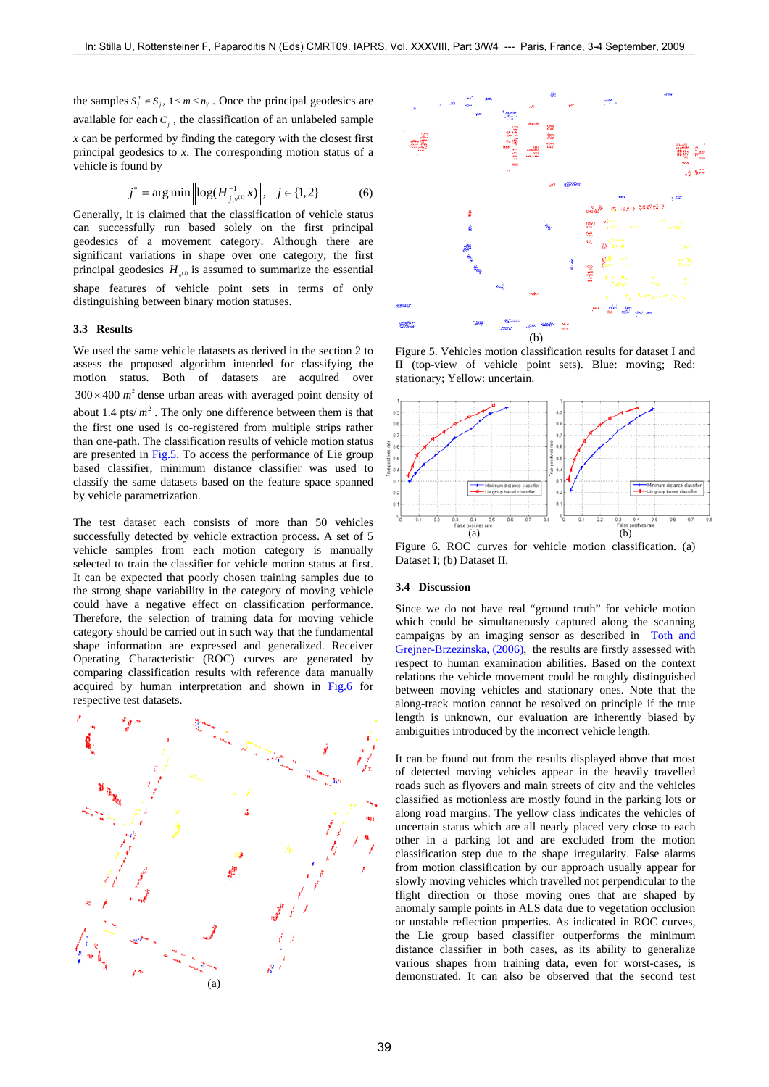the samples  $S_j^m \in S_j$ ,  $1 \le m \le n_Y$ . Once the principal geodesics are available for each  $C_i$ , the classification of an unlabeled sample *x* can be performed by finding the category with the closest first principal geodesics to *x*. The corresponding motion status of a vehicle is found by

$$
j^* = \arg\min \left\| \log(H_{j,\nu^{(1)}}^{-1} x) \right\|, \quad j \in \{1, 2\}
$$
 (6)

Generally, it is claimed that the classification of vehicle status can successfully run based solely on the first principal geodesics of a movement category. Although there are significant variations in shape over one category, the first principal geodesics  $H_{v^{(1)}}$  is assumed to summarize the essential shape features of vehicle point sets in terms of only distinguishing between binary motion statuses.

#### **3.3 Results**

We used the same vehicle datasets as derived in the section 2 to assess the proposed algorithm intended for classifying the motion status. Both of datasets are acquired over  $300 \times 400$   $m<sup>2</sup>$  dense urban areas with averaged point density of about 1.4 pts/ $m^2$ . The only one difference between them is that the first one used is co-registered from multiple strips rather than one-path. The classification results of vehicle motion status are presented in Fig.5. To access the performance of Lie group based classifier, minimum distance classifier was used to classify the same datasets based on the feature space spanned by vehicle parametrization.

The test dataset each consists of more than 50 vehicles successfully detected by vehicle extraction process. A set of 5 vehicle samples from each motion category is manually selected to train the classifier for vehicle motion status at first. It can be expected that poorly chosen training samples due to the strong shape variability in the category of moving vehicle could have a negative effect on classification performance. Therefore, the selection of training data for moving vehicle category should be carried out in such way that the fundamental shape information are expressed and generalized. Receiver Operating Characteristic (ROC) curves are generated by comparing classification results with reference data manually acquired by human interpretation and shown in Fig.6 for respective test datasets.





Figure 5. Vehicles motion classification results for dataset I and II (top-view of vehicle point sets). Blue: moving; Red: stationary; Yellow: uncertain.



Figure 6. ROC curves for vehicle motion classification. (a) Dataset I; (b) Dataset II.

## **3.4 Discussion**

Since we do not have real "ground truth" for vehicle motion which could be simultaneously captured along the scanning campaigns by an imaging sensor as described in Toth and Grejner-Brzezinska, (2006), the results are firstly assessed with respect to human examination abilities. Based on the context relations the vehicle movement could be roughly distinguished between moving vehicles and stationary ones. Note that the along-track motion cannot be resolved on principle if the true length is unknown, our evaluation are inherently biased by ambiguities introduced by the incorrect vehicle length.

It can be found out from the results displayed above that most of detected moving vehicles appear in the heavily travelled roads such as flyovers and main streets of city and the vehicles classified as motionless are mostly found in the parking lots or along road margins. The yellow class indicates the vehicles of uncertain status which are all nearly placed very close to each other in a parking lot and are excluded from the motion classification step due to the shape irregularity. False alarms from motion classification by our approach usually appear for slowly moving vehicles which travelled not perpendicular to the flight direction or those moving ones that are shaped by anomaly sample points in ALS data due to vegetation occlusion or unstable reflection properties. As indicated in ROC curves, the Lie group based classifier outperforms the minimum distance classifier in both cases, as its ability to generalize various shapes from training data, even for worst-cases, is demonstrated. It can also be observed that the second test